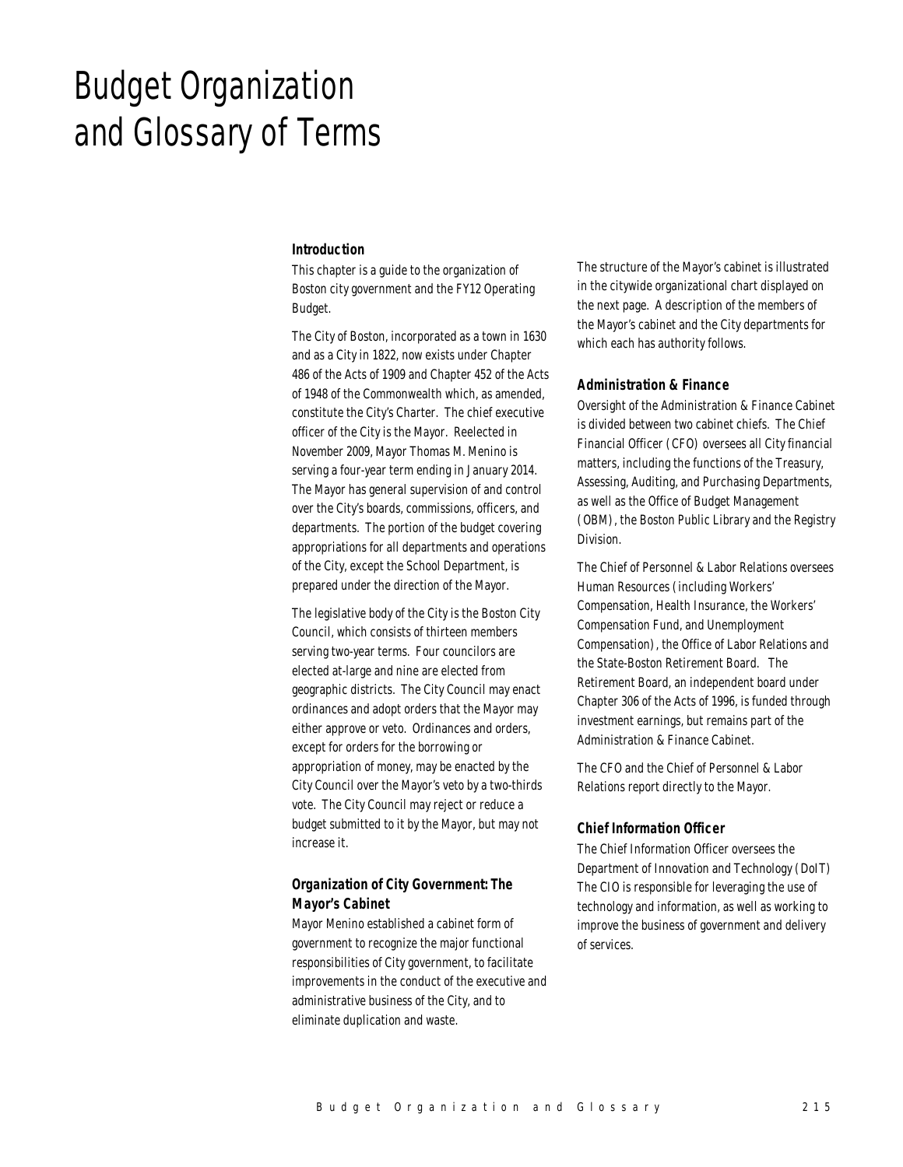# Budget Organization and Glossary of Terms

#### *Introduction*

This chapter is a guide to the organization of Boston city government and the FY12 Operating Budget.

The City of Boston, incorporated as a town in 1630 and as a City in 1822, now exists under Chapter 486 of the Acts of 1909 and Chapter 452 of the Acts of 1948 of the Commonwealth which, as amended, constitute the City's Charter. The chief executive officer of the City is the Mayor. Reelected in November 2009, Mayor Thomas M. Menino is serving a four-year term ending in January 2014. The Mayor has general supervision of and control over the City's boards, commissions, officers, and departments. The portion of the budget covering appropriations for all departments and operations of the City, except the School Department, is prepared under the direction of the Mayor.

The legislative body of the City is the Boston City Council, which consists of thirteen members serving two-year terms. Four councilors are elected at-large and nine are elected from geographic districts. The City Council may enact ordinances and adopt orders that the Mayor may either approve or veto. Ordinances and orders, except for orders for the borrowing or appropriation of money, may be enacted by the City Council over the Mayor's veto by a two-thirds vote. The City Council may reject or reduce a budget submitted to it by the Mayor, but may not increase it.

# *Organization of City Government: The Mayor's Cabinet*

Mayor Menino established a cabinet form of government to recognize the major functional responsibilities of City government, to facilitate improvements in the conduct of the executive and administrative business of the City, and to eliminate duplication and waste.

The structure of the Mayor's cabinet is illustrated in the citywide organizational chart displayed on the next page. A description of the members of the Mayor's cabinet and the City departments for which each has authority follows.

### *Administration & Finance*

Oversight of the Administration & Finance Cabinet is divided between two cabinet chiefs. The Chief Financial Officer (CFO) oversees all City financial matters, including the functions of the Treasury, Assessing, Auditing, and Purchasing Departments, as well as the Office of Budget Management (OBM), the Boston Public Library and the Registry Division.

The Chief of Personnel & Labor Relations oversees Human Resources (including Workers' Compensation, Health Insurance, the Workers' Compensation Fund, and Unemployment Compensation), the Office of Labor Relations and the State-Boston Retirement Board. The Retirement Board, an independent board under Chapter 306 of the Acts of 1996, is funded through investment earnings, but remains part of the Administration & Finance Cabinet.

The CFO and the Chief of Personnel & Labor Relations report directly to the Mayor.

#### *Chief Information Officer*

The Chief Information Officer oversees the Department of Innovation and Technology (DoIT) The CIO is responsible for leveraging the use of technology and information, as well as working to improve the business of government and delivery of services.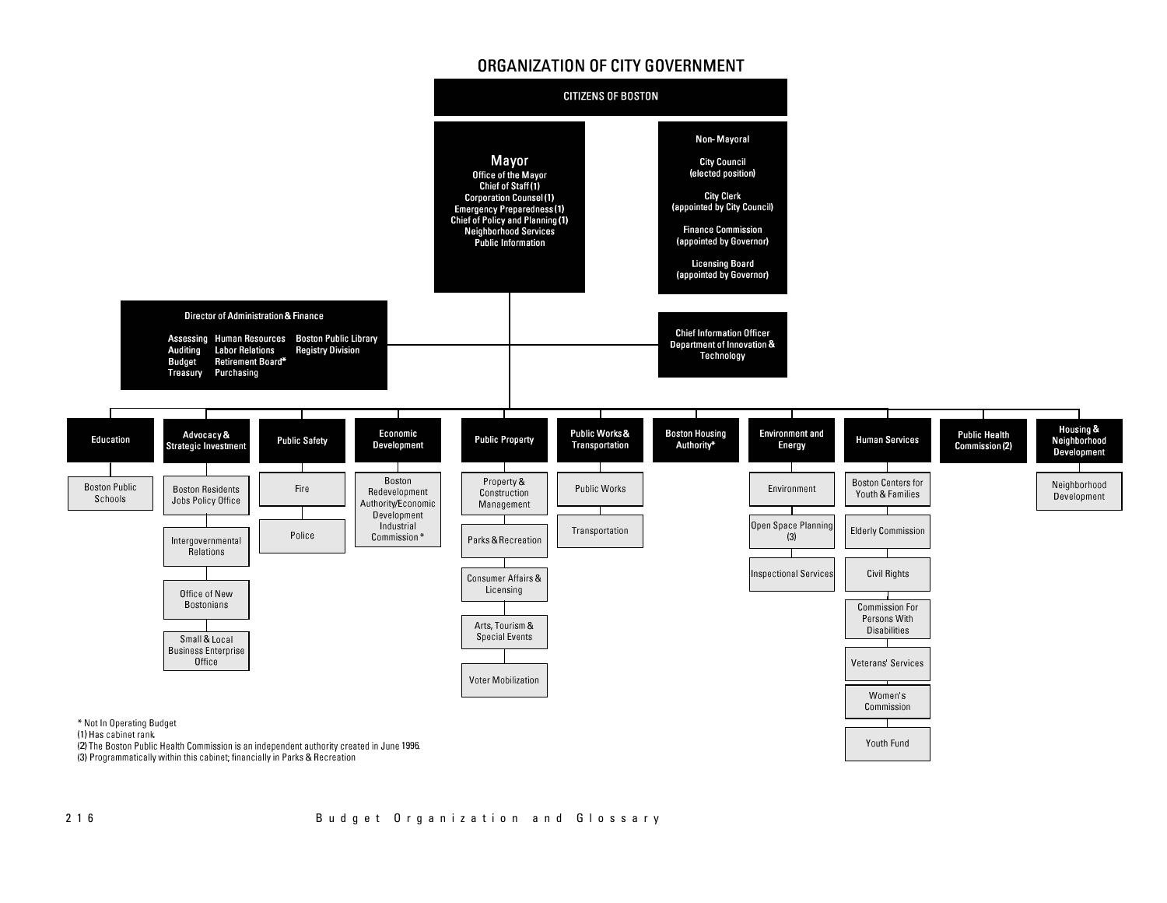# ORGANIZATION OF CITY GOVERNMENT

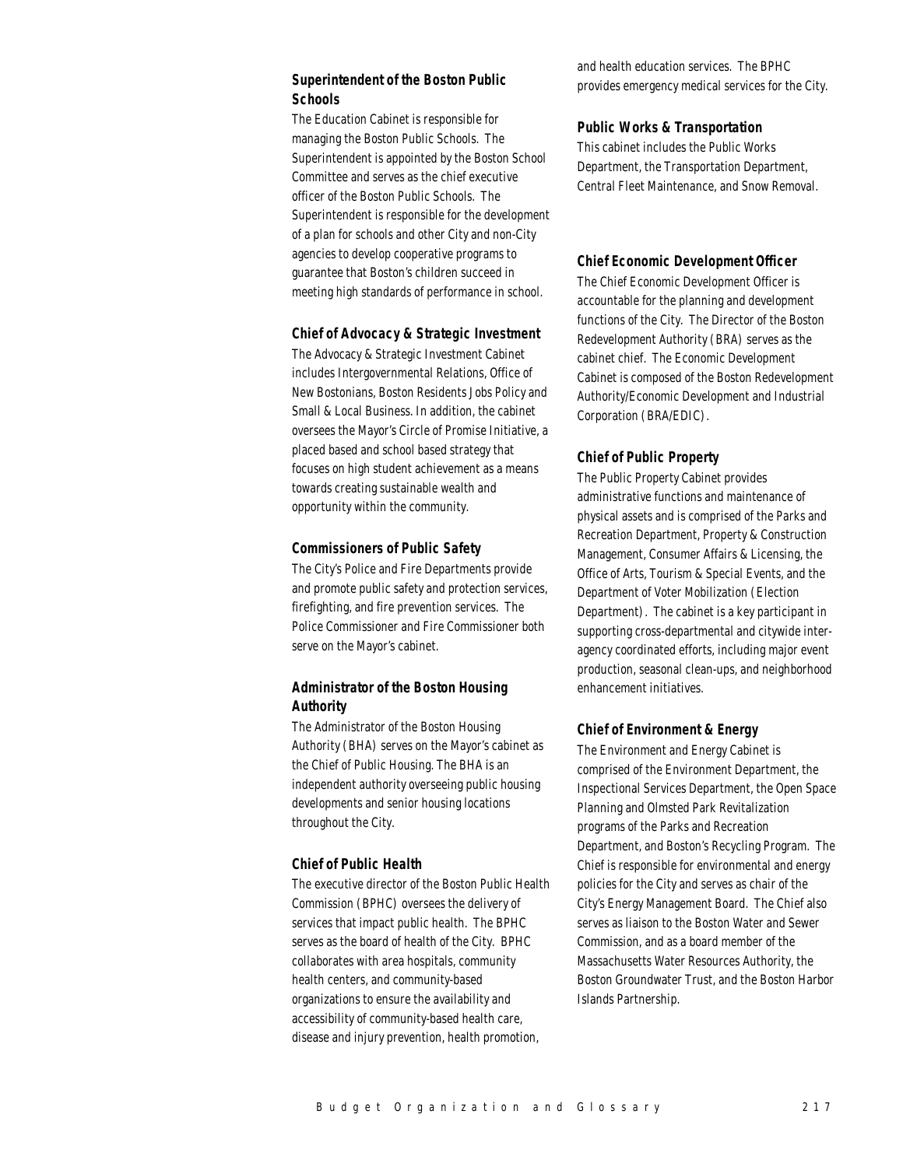# *Superintendent of the Boston Public Schools*

The Education Cabinet is responsible for managing the Boston Public Schools. The Superintendent is appointed by the Boston School Committee and serves as the chief executive officer of the Boston Public Schools. The Superintendent is responsible for the development of a plan for schools and other City and non-City agencies to develop cooperative programs to guarantee that Boston's children succeed in meeting high standards of performance in school.

#### *Chief of Advocacy & Strategic Investment*

The Advocacy & Strategic Investment Cabinet includes Intergovernmental Relations, Office of New Bostonians, Boston Residents Jobs Policy and Small & Local Business. In addition, the cabinet oversees the Mayor's Circle of Promise Initiative, a placed based and school based strategy that focuses on high student achievement as a means towards creating sustainable wealth and opportunity within the community.

#### *Commissioners of Public Safety*

The City's Police and Fire Departments provide and promote public safety and protection services, firefighting, and fire prevention services. The Police Commissioner and Fire Commissioner both serve on the Mayor's cabinet.

# *Administrator of the Boston Housing Authority*

The Administrator of the Boston Housing Authority (BHA) serves on the Mayor's cabinet as the Chief of Public Housing. The BHA is an independent authority overseeing public housing developments and senior housing locations throughout the City.

## *Chief of Public Health*

The executive director of the Boston Public Health Commission (BPHC) oversees the delivery of services that impact public health. The BPHC serves as the board of health of the City. BPHC collaborates with area hospitals, community health centers, and community-based organizations to ensure the availability and accessibility of community-based health care, disease and injury prevention, health promotion,

and health education services. The BPHC provides emergency medical services for the City.

### *Public Works & Transportation*

This cabinet includes the Public Works Department, the Transportation Department, Central Fleet Maintenance, and Snow Removal.

### *Chief Economic Development Officer*

The Chief Economic Development Officer is accountable for the planning and development functions of the City. The Director of the Boston Redevelopment Authority (BRA) serves as the cabinet chief. The Economic Development Cabinet is composed of the Boston Redevelopment Authority/Economic Development and Industrial Corporation (BRA/EDIC).

# *Chief of Public Property*

The Public Property Cabinet provides administrative functions and maintenance of physical assets and is comprised of the Parks and Recreation Department, Property & Construction Management, Consumer Affairs & Licensing, the Office of Arts, Tourism & Special Events, and the Department of Voter Mobilization (Election Department). The cabinet is a key participant in supporting cross-departmental and citywide interagency coordinated efforts, including major event production, seasonal clean-ups, and neighborhood enhancement initiatives.

## *Chief of Environment & Energy*

The Environment and Energy Cabinet is comprised of the Environment Department, the Inspectional Services Department, the Open Space Planning and Olmsted Park Revitalization programs of the Parks and Recreation Department, and Boston's Recycling Program. The Chief is responsible for environmental and energy policies for the City and serves as chair of the City's Energy Management Board. The Chief also serves as liaison to the Boston Water and Sewer Commission, and as a board member of the Massachusetts Water Resources Authority, the Boston Groundwater Trust, and the Boston Harbor Islands Partnership.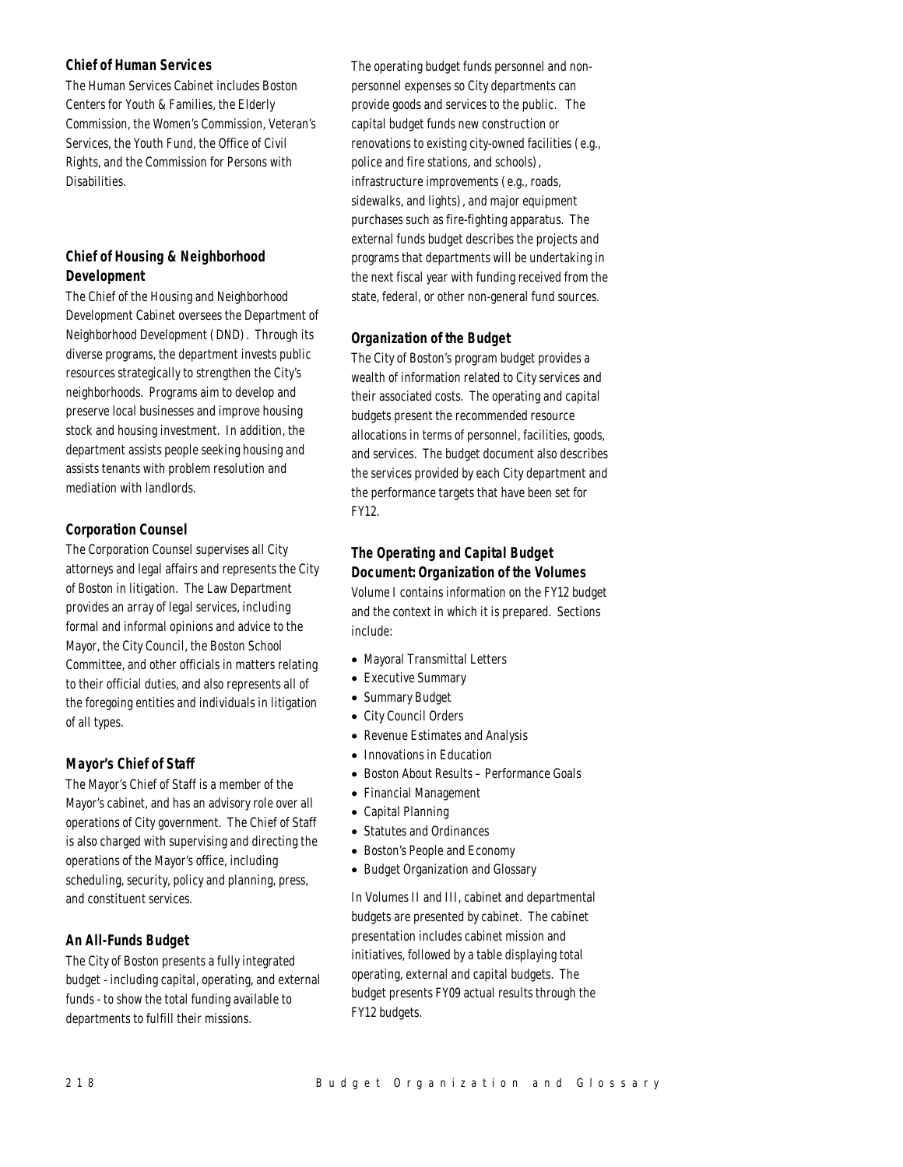# *Chief of Human Services*

The Human Services Cabinet includes Boston Centers for Youth & Families, the Elderly Commission, the Women's Commission, Veteran's Services, the Youth Fund, the Office of Civil Rights, and the Commission for Persons with Disabilities.

# *Chief of Housing & Neighborhood Development*

The Chief of the Housing and Neighborhood Development Cabinet oversees the Department of Neighborhood Development (DND). Through its diverse programs, the department invests public resources strategically to strengthen the City's neighborhoods. Programs aim to develop and preserve local businesses and improve housing stock and housing investment. In addition, the department assists people seeking housing and assists tenants with problem resolution and mediation with landlords.

# *Corporation Counsel*

The Corporation Counsel supervises all City attorneys and legal affairs and represents the City of Boston in litigation. The Law Department provides an array of legal services, including formal and informal opinions and advice to the Mayor, the City Council, the Boston School Committee, and other officials in matters relating to their official duties, and also represents all of the foregoing entities and individuals in litigation of all types.

# *Mayor's Chief of Staff*

The Mayor's Chief of Staff is a member of the Mayor's cabinet, and has an advisory role over all operations of City government. The Chief of Staff is also charged with supervising and directing the operations of the Mayor's office, including scheduling, security, policy and planning, press, and constituent services.

# *An All-Funds Budget*

The City of Boston presents a fully integrated budget - including capital, operating, and external funds - to show the total funding available to departments to fulfill their missions.

The operating budget funds personnel and nonpersonnel expenses so City departments can provide goods and services to the public. The capital budget funds new construction or renovations to existing city-owned facilities (e.g., police and fire stations, and schools), infrastructure improvements (e.g., roads, sidewalks, and lights), and major equipment purchases such as fire-fighting apparatus. The external funds budget describes the projects and programs that departments will be undertaking in the next fiscal year with funding received from the state, federal, or other non-general fund sources.

# *Organization of the Budget*

The City of Boston's program budget provides a wealth of information related to City services and their associated costs. The operating and capital budgets present the recommended resource allocations in terms of personnel, facilities, goods, and services. The budget document also describes the services provided by each City department and the performance targets that have been set for FY12.

# *The Operating and Capital Budget Document: Organization of the Volumes*

Volume I contains information on the FY12 budget and the context in which it is prepared. Sections include:

- Mayoral Transmittal Letters
- Executive Summary
- Summary Budget
- City Council Orders
- Revenue Estimates and Analysis
- Innovations in Education
- Boston About Results Performance Goals
- Financial Management
- Capital Planning
- Statutes and Ordinances
- Boston's People and Economy
- Budget Organization and Glossary

In Volumes II and III, cabinet and departmental budgets are presented by cabinet. The cabinet presentation includes cabinet mission and initiatives, followed by a table displaying total operating, external and capital budgets. The budget presents FY09 actual results through the FY12 budgets.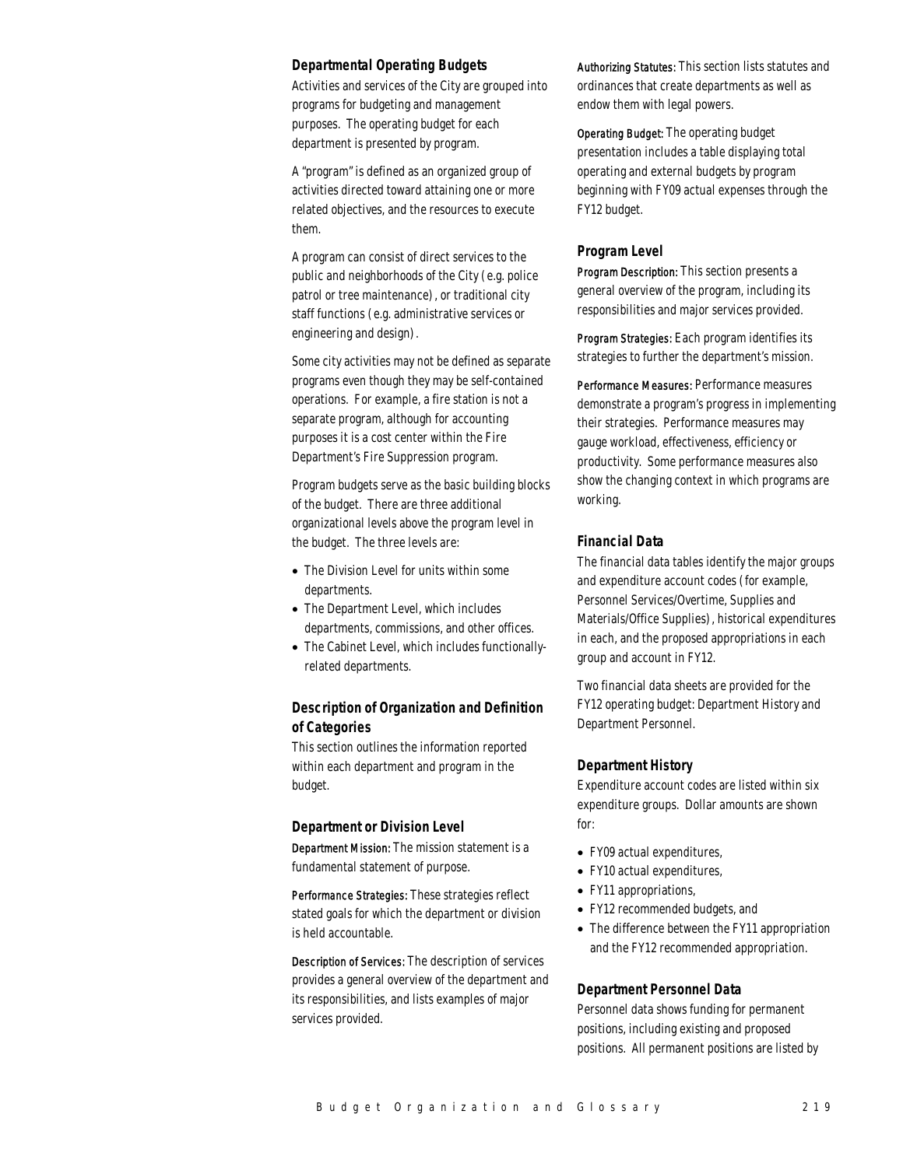### *Departmental Operating Budgets*

Activities and services of the City are grouped into programs for budgeting and management purposes. The operating budget for each department is presented by program.

A "program" is defined as an organized group of activities directed toward attaining one or more related objectives, and the resources to execute them.

A program can consist of direct services to the public and neighborhoods of the City (e.g. police patrol or tree maintenance), or traditional city staff functions (e.g. administrative services or engineering and design).

Some city activities may not be defined as separate programs even though they may be self-contained operations. For example, a fire station is not a separate program, although for accounting purposes it is a cost center within the Fire Department's Fire Suppression program.

Program budgets serve as the basic building blocks of the budget. There are three additional organizational levels above the program level in the budget. The three levels are:

- The Division Level for units within some departments.
- The Department Level, which includes departments, commissions, and other offices.
- The Cabinet Level, which includes functionallyrelated departments.

# *Description of Organization and Definition of Categories*

This section outlines the information reported within each department and program in the budget.

#### *Department or Division Level*

Department Mission: The mission statement is a fundamental statement of purpose.

Performance Strategies: These strategies reflect stated goals for which the department or division is held accountable.

Description of Services: The description of services provides a general overview of the department and its responsibilities, and lists examples of major services provided.

Authorizing Statutes: This section lists statutes and ordinances that create departments as well as endow them with legal powers.

Operating Budget: The operating budget presentation includes a table displaying total operating and external budgets by program beginning with FY09 actual expenses through the FY12 budget.

### *Program Level*

Program Description: This section presents a general overview of the program, including its responsibilities and major services provided.

Program Strategies: Each program identifies its strategies to further the department's mission.

Performance Measures: Performance measures demonstrate a program's progress in implementing their strategies. Performance measures may gauge workload, effectiveness, efficiency or productivity. Some performance measures also show the changing context in which programs are working.

# *Financial Data*

The financial data tables identify the major groups and expenditure account codes (for example, Personnel Services/Overtime, Supplies and Materials/Office Supplies), historical expenditures in each, and the proposed appropriations in each group and account in FY12.

Two financial data sheets are provided for the FY12 operating budget: Department History and Department Personnel.

#### *Department History*

Expenditure account codes are listed within six expenditure groups. Dollar amounts are shown for:

- FY09 actual expenditures,
- FY10 actual expenditures,
- FY11 appropriations,
- FY12 recommended budgets, and
- The difference between the FY11 appropriation and the FY12 recommended appropriation.

#### *Department Personnel Data*

Personnel data shows funding for permanent positions, including existing and proposed positions. All permanent positions are listed by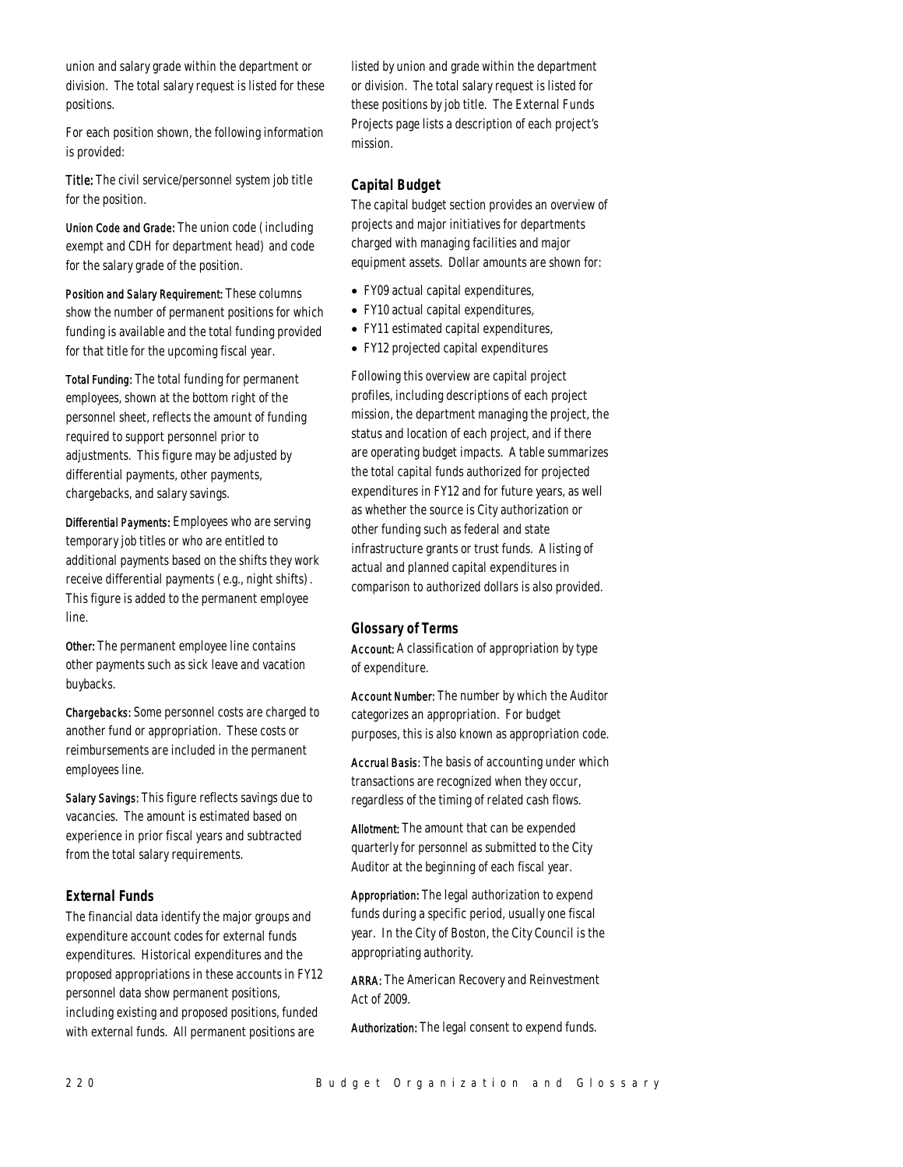union and salary grade within the department or division. The total salary request is listed for these positions.

For each position shown, the following information is provided:

Title: The civil service/personnel system job title for the position.

Union Code and Grade: The union code (including exempt and CDH for department head) and code for the salary grade of the position.

Position and Salary Requirement: These columns show the number of permanent positions for which funding is available and the total funding provided for that title for the upcoming fiscal year.

Total Funding: The total funding for permanent employees, shown at the bottom right of the personnel sheet, reflects the amount of funding required to support personnel prior to adjustments. This figure may be adjusted by differential payments, other payments, chargebacks, and salary savings.

Differential Payments: Employees who are serving temporary job titles or who are entitled to additional payments based on the shifts they work receive differential payments (e.g., night shifts). This figure is added to the permanent employee line.

Other: The permanent employee line contains other payments such as sick leave and vacation buybacks.

Chargebacks: Some personnel costs are charged to another fund or appropriation. These costs or reimbursements are included in the permanent employees line.

Salary Savings: This figure reflects savings due to vacancies. The amount is estimated based on experience in prior fiscal years and subtracted from the total salary requirements.

# *External Funds*

The financial data identify the major groups and expenditure account codes for external funds expenditures. Historical expenditures and the proposed appropriations in these accounts in FY12 personnel data show permanent positions, including existing and proposed positions, funded with external funds. All permanent positions are

listed by union and grade within the department or division. The total salary request is listed for these positions by job title. The External Funds Projects page lists a description of each project's mission.

# *Capital Budget*

The capital budget section provides an overview of projects and major initiatives for departments charged with managing facilities and major equipment assets. Dollar amounts are shown for:

- FY09 actual capital expenditures,
- FY10 actual capital expenditures,
- FY11 estimated capital expenditures,
- FY12 projected capital expenditures

Following this overview are capital project profiles, including descriptions of each project mission, the department managing the project, the status and location of each project, and if there are operating budget impacts. A table summarizes the total capital funds authorized for projected expenditures in FY12 and for future years, as well as whether the source is City authorization or other funding such as federal and state infrastructure grants or trust funds. A listing of actual and planned capital expenditures in comparison to authorized dollars is also provided.

## *Glossary of Terms*

Account: A classification of appropriation by type of expenditure.

Account Number: The number by which the Auditor categorizes an appropriation. For budget purposes, this is also known as appropriation code.

Accrual Basis: The basis of accounting under which transactions are recognized when they occur, regardless of the timing of related cash flows.

Allotment: The amount that can be expended quarterly for personnel as submitted to the City Auditor at the beginning of each fiscal year.

Appropriation: The legal authorization to expend funds during a specific period, usually one fiscal year. In the City of Boston, the City Council is the appropriating authority.

ARRA: The American Recovery and Reinvestment Act of 2009.

Authorization: The legal consent to expend funds.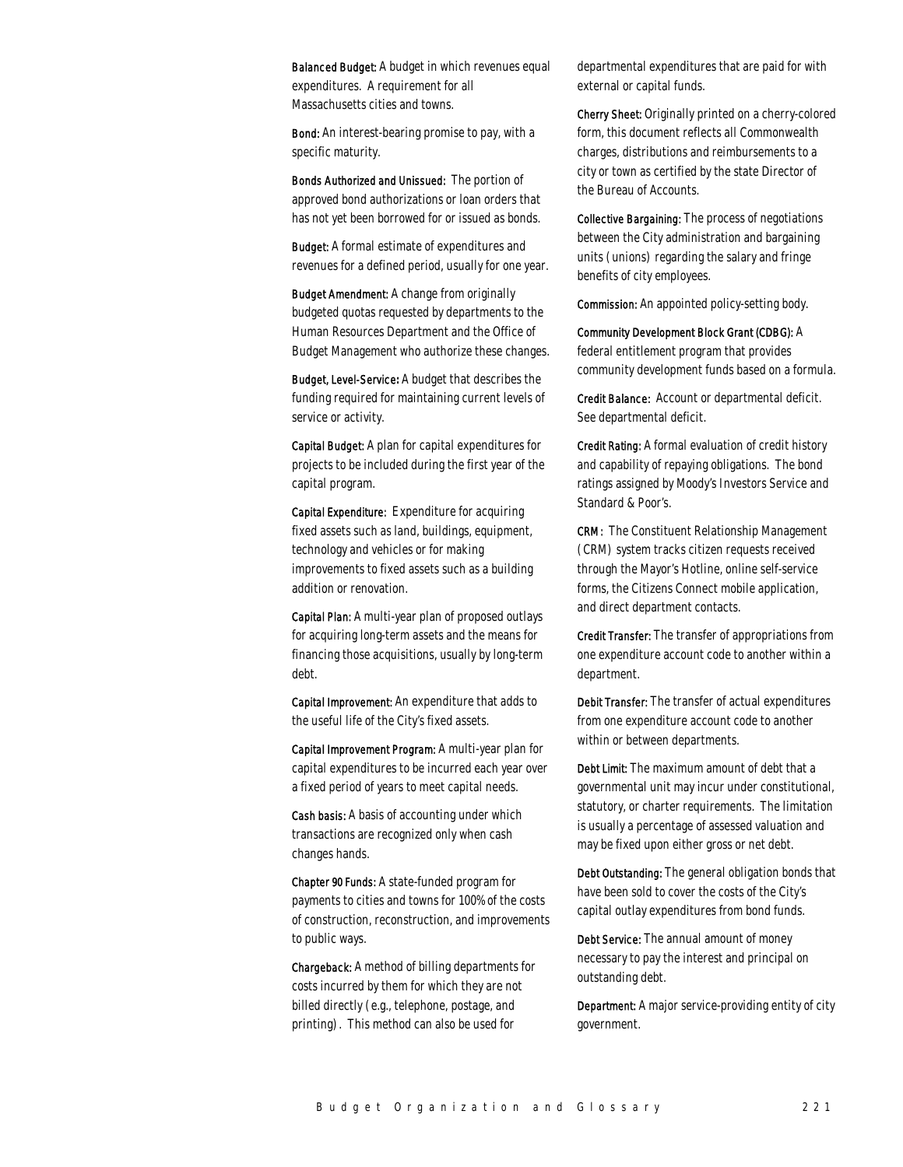Balanced Budget: A budget in which revenues equal expenditures. A requirement for all Massachusetts cities and towns.

Bond: An interest-bearing promise to pay, with a specific maturity.

Bonds Authorized and Unissued: The portion of approved bond authorizations or loan orders that has not yet been borrowed for or issued as bonds.

Budget: A formal estimate of expenditures and revenues for a defined period, usually for one year.

Budget Amendment: A change from originally budgeted quotas requested by departments to the Human Resources Department and the Office of Budget Management who authorize these changes.

Budget, Level-Service*:* A budget that describes the funding required for maintaining current levels of service or activity.

Capital Budget: A plan for capital expenditures for projects to be included during the first year of the capital program.

Capital Expenditure: Expenditure for acquiring fixed assets such as land, buildings, equipment, technology and vehicles or for making improvements to fixed assets such as a building addition or renovation.

Capital Plan: A multi-year plan of proposed outlays for acquiring long-term assets and the means for financing those acquisitions, usually by long-term debt.

Capital Improvement: An expenditure that adds to the useful life of the City's fixed assets.

Capital Improvement Program: A multi-year plan for capital expenditures to be incurred each year over a fixed period of years to meet capital needs.

Cash basis: A basis of accounting under which transactions are recognized only when cash changes hands.

Chapter 90 Funds: A state-funded program for payments to cities and towns for 100% of the costs of construction, reconstruction, and improvements to public ways.

Chargeback: A method of billing departments for costs incurred by them for which they are not billed directly (e.g., telephone, postage, and printing). This method can also be used for

departmental expenditures that are paid for with external or capital funds.

Cherry Sheet: Originally printed on a cherry-colored form, this document reflects all Commonwealth charges, distributions and reimbursements to a city or town as certified by the state Director of the Bureau of Accounts.

Collective Bargaining: The process of negotiations between the City administration and bargaining units (unions) regarding the salary and fringe benefits of city employees.

Commission: An appointed policy-setting body.

Community Development Block Grant (CDBG): A federal entitlement program that provides community development funds based on a formula.

Credit Balance: Account or departmental deficit. See departmental deficit.

Credit Rating: A formal evaluation of credit history and capability of repaying obligations. The bond ratings assigned by Moody's Investors Service and Standard & Poor's.

CRM: The Constituent Relationship Management (CRM) system tracks citizen requests received through the Mayor's Hotline, online self-service forms, the Citizens Connect mobile application, and direct department contacts.

Credit Transfer: The transfer of appropriations from one expenditure account code to another within a department.

Debit Transfer: The transfer of actual expenditures from one expenditure account code to another within or between departments.

Debt Limit: The maximum amount of debt that a governmental unit may incur under constitutional, statutory, or charter requirements. The limitation is usually a percentage of assessed valuation and may be fixed upon either gross or net debt.

Debt Outstanding: The general obligation bonds that have been sold to cover the costs of the City's capital outlay expenditures from bond funds.

Debt Service: The annual amount of money necessary to pay the interest and principal on outstanding debt.

Department: A major service-providing entity of city government.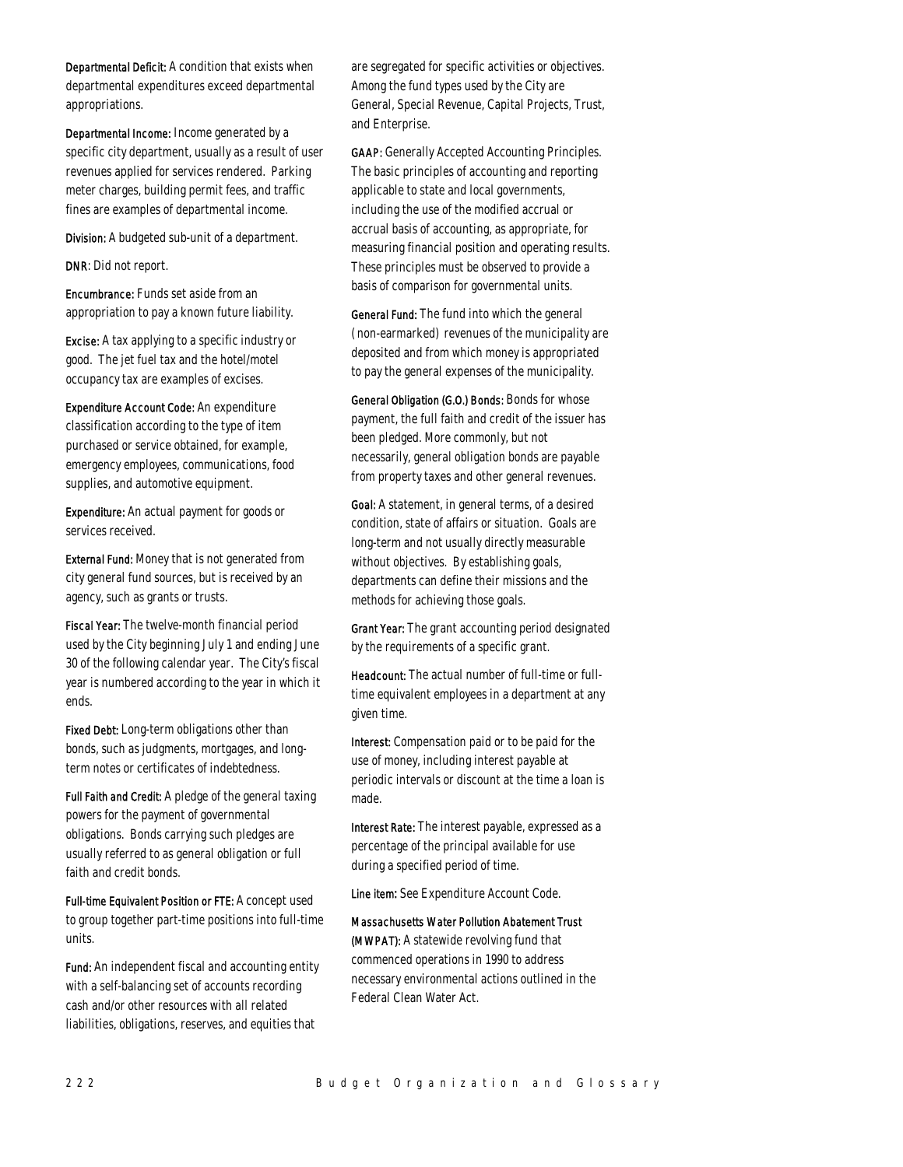Departmental Deficit: A condition that exists when departmental expenditures exceed departmental appropriations.

Departmental Income: Income generated by a specific city department, usually as a result of user revenues applied for services rendered. Parking meter charges, building permit fees, and traffic fines are examples of departmental income.

Division: A budgeted sub-unit of a department.

DNR: Did not report.

Encumbrance: Funds set aside from an appropriation to pay a known future liability.

Excise: A tax applying to a specific industry or good. The jet fuel tax and the hotel/motel occupancy tax are examples of excises.

Expenditure Account Code: An expenditure classification according to the type of item purchased or service obtained, for example, emergency employees, communications, food supplies, and automotive equipment.

Expenditure: An actual payment for goods or services received.

External Fund: Money that is not generated from city general fund sources, but is received by an agency, such as grants or trusts.

Fiscal Year: The twelve-month financial period used by the City beginning July 1 and ending June 30 of the following calendar year. The City's fiscal year is numbered according to the year in which it ends.

Fixed Debt: Long-term obligations other than bonds, such as judgments, mortgages, and longterm notes or certificates of indebtedness.

Full Faith and Credit: A pledge of the general taxing powers for the payment of governmental obligations. Bonds carrying such pledges are usually referred to as general obligation or full faith and credit bonds.

Full-time Equivalent Position or FTE: A concept used to group together part-time positions into full-time units.

Fund: An independent fiscal and accounting entity with a self-balancing set of accounts recording cash and/or other resources with all related liabilities, obligations, reserves, and equities that

are segregated for specific activities or objectives. Among the fund types used by the City are General, Special Revenue, Capital Projects, Trust, and Enterprise.

GAAP: Generally Accepted Accounting Principles. The basic principles of accounting and reporting applicable to state and local governments, including the use of the modified accrual or accrual basis of accounting, as appropriate, for measuring financial position and operating results. These principles must be observed to provide a basis of comparison for governmental units.

General Fund: The fund into which the general (non-earmarked) revenues of the municipality are deposited and from which money is appropriated to pay the general expenses of the municipality.

General Obligation (G.O.) Bonds: Bonds for whose payment, the full faith and credit of the issuer has been pledged. More commonly, but not necessarily, general obligation bonds are payable from property taxes and other general revenues.

Goal: A statement, in general terms, of a desired condition, state of affairs or situation. Goals are long-term and not usually directly measurable without objectives. By establishing goals, departments can define their missions and the methods for achieving those goals.

Grant Year: The grant accounting period designated by the requirements of a specific grant.

Headcount: The actual number of full-time or fulltime equivalent employees in a department at any given time.

Interest: Compensation paid or to be paid for the use of money, including interest payable at periodic intervals or discount at the time a loan is made.

Interest Rate: The interest payable, expressed as a percentage of the principal available for use during a specified period of time.

Line item: See Expenditure Account Code.

Massachusetts Water Pollution Abatement Trust (MWPAT): A statewide revolving fund that commenced operations in 1990 to address necessary environmental actions outlined in the Federal Clean Water Act.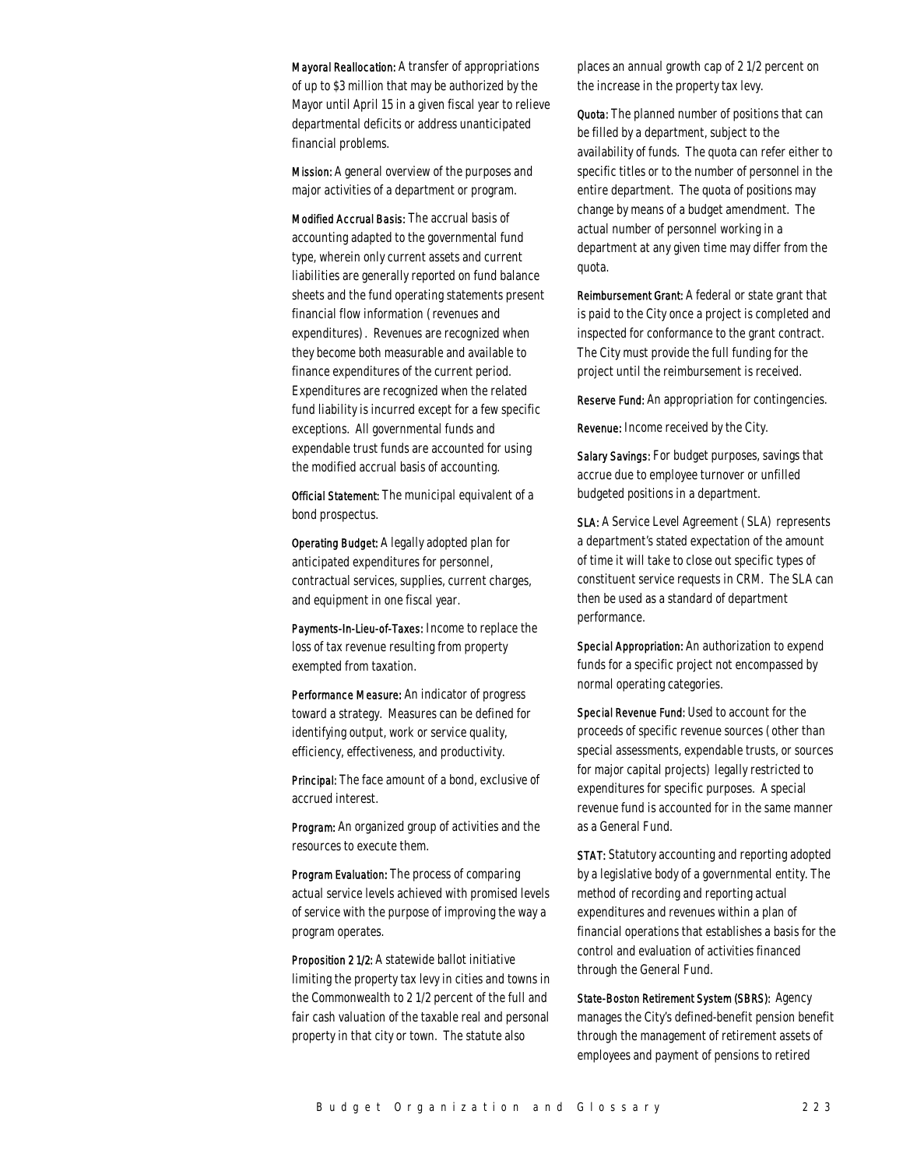Mayoral Reallocation: A transfer of appropriations of up to \$3 million that may be authorized by the Mayor until April 15 in a given fiscal year to relieve departmental deficits or address unanticipated financial problems.

Mission: A general overview of the purposes and major activities of a department or program.

Modified Accrual Basis: The accrual basis of accounting adapted to the governmental fund type, wherein only current assets and current liabilities are generally reported on fund balance sheets and the fund operating statements present financial flow information (revenues and expenditures). Revenues are recognized when they become both measurable and available to finance expenditures of the current period. Expenditures are recognized when the related fund liability is incurred except for a few specific exceptions. All governmental funds and expendable trust funds are accounted for using the modified accrual basis of accounting.

Official Statement: The municipal equivalent of a bond prospectus.

Operating Budget: A legally adopted plan for anticipated expenditures for personnel, contractual services, supplies, current charges, and equipment in one fiscal year.

Payments-In-Lieu-of-Taxes: Income to replace the loss of tax revenue resulting from property exempted from taxation.

Performance Measure: An indicator of progress toward a strategy. Measures can be defined for identifying output, work or service quality, efficiency, effectiveness, and productivity.

Principal: The face amount of a bond, exclusive of accrued interest.

Program: An organized group of activities and the resources to execute them.

Program Evaluation: The process of comparing actual service levels achieved with promised levels of service with the purpose of improving the way a program operates.

Proposition 2 1/2: A statewide ballot initiative limiting the property tax levy in cities and towns in the Commonwealth to 2 1/2 percent of the full and fair cash valuation of the taxable real and personal property in that city or town. The statute also

places an annual growth cap of 2 1/2 percent on the increase in the property tax levy.

Quota: The planned number of positions that can be filled by a department, subject to the availability of funds. The quota can refer either to specific titles or to the number of personnel in the entire department. The quota of positions may change by means of a budget amendment. The actual number of personnel working in a department at any given time may differ from the quota.

Reimbursement Grant: A federal or state grant that is paid to the City once a project is completed and inspected for conformance to the grant contract. The City must provide the full funding for the project until the reimbursement is received.

Reserve Fund: An appropriation for contingencies.

Revenue: Income received by the City.

Salary Savings: For budget purposes, savings that accrue due to employee turnover or unfilled budgeted positions in a department.

SLA: A Service Level Agreement (SLA) represents a department's stated expectation of the amount of time it will take to close out specific types of constituent service requests in CRM. The SLA can then be used as a standard of department performance.

Special Appropriation: An authorization to expend funds for a specific project not encompassed by normal operating categories.

Special Revenue Fund: Used to account for the proceeds of specific revenue sources (other than special assessments, expendable trusts, or sources for major capital projects) legally restricted to expenditures for specific purposes. A special revenue fund is accounted for in the same manner as a General Fund.

STAT: Statutory accounting and reporting adopted by a legislative body of a governmental entity. The method of recording and reporting actual expenditures and revenues within a plan of financial operations that establishes a basis for the control and evaluation of activities financed through the General Fund.

State-Boston Retirement System (SBRS): Agency manages the City's defined-benefit pension benefit through the management of retirement assets of employees and payment of pensions to retired